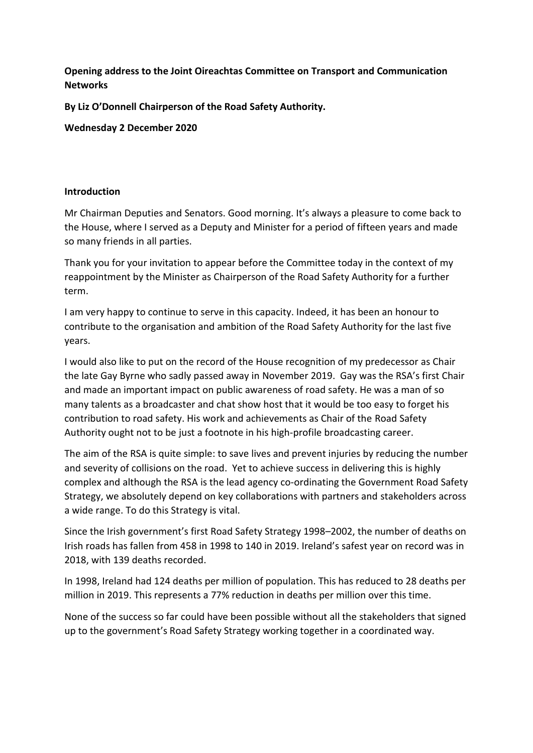**Opening address to the Joint Oireachtas Committee on Transport and Communication Networks**

**By Liz O'Donnell Chairperson of the Road Safety Authority.**

**Wednesday 2 December 2020**

#### **Introduction**

Mr Chairman Deputies and Senators. Good morning. It's always a pleasure to come back to the House, where I served as a Deputy and Minister for a period of fifteen years and made so many friends in all parties.

Thank you for your invitation to appear before the Committee today in the context of my reappointment by the Minister as Chairperson of the Road Safety Authority for a further term.

I am very happy to continue to serve in this capacity. Indeed, it has been an honour to contribute to the organisation and ambition of the Road Safety Authority for the last five years.

I would also like to put on the record of the House recognition of my predecessor as Chair the late Gay Byrne who sadly passed away in November 2019. Gay was the RSA's first Chair and made an important impact on public awareness of road safety. He was a man of so many talents as a broadcaster and chat show host that it would be too easy to forget his contribution to road safety. His work and achievements as Chair of the Road Safety Authority ought not to be just a footnote in his high-profile broadcasting career.

The aim of the RSA is quite simple: to save lives and prevent injuries by reducing the number and severity of collisions on the road. Yet to achieve success in delivering this is highly complex and although the RSA is the lead agency co-ordinating the Government Road Safety Strategy, we absolutely depend on key collaborations with partners and stakeholders across a wide range. To do this Strategy is vital.

Since the Irish government's first Road Safety Strategy 1998–2002, the number of deaths on Irish roads has fallen from 458 in 1998 to 140 in 2019. Ireland's safest year on record was in 2018, with 139 deaths recorded.

In 1998, Ireland had 124 deaths per million of population. This has reduced to 28 deaths per million in 2019. This represents a 77% reduction in deaths per million over this time.

None of the success so far could have been possible without all the stakeholders that signed up to the government's Road Safety Strategy working together in a coordinated way.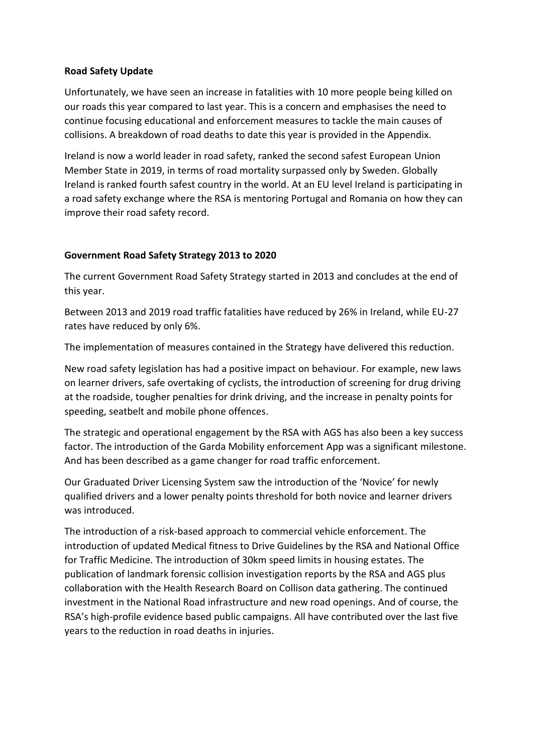### **Road Safety Update**

Unfortunately, we have seen an increase in fatalities with 10 more people being killed on our roads this year compared to last year. This is a concern and emphasises the need to continue focusing educational and enforcement measures to tackle the main causes of collisions. A breakdown of road deaths to date this year is provided in the Appendix.

Ireland is now a world leader in road safety, ranked the second safest European Union Member State in 2019, in terms of road mortality surpassed only by Sweden. Globally Ireland is ranked fourth safest country in the world. At an EU level Ireland is participating in a road safety exchange where the RSA is mentoring Portugal and Romania on how they can improve their road safety record.

## **Government Road Safety Strategy 2013 to 2020**

The current Government Road Safety Strategy started in 2013 and concludes at the end of this year.

Between 2013 and 2019 road traffic fatalities have reduced by 26% in Ireland, while EU-27 rates have reduced by only 6%.

The implementation of measures contained in the Strategy have delivered this reduction.

New road safety legislation has had a positive impact on behaviour. For example, new laws on learner drivers, safe overtaking of cyclists, the introduction of screening for drug driving at the roadside, tougher penalties for drink driving, and the increase in penalty points for speeding, seatbelt and mobile phone offences.

The strategic and operational engagement by the RSA with AGS has also been a key success factor. The introduction of the Garda Mobility enforcement App was a significant milestone. And has been described as a game changer for road traffic enforcement.

Our Graduated Driver Licensing System saw the introduction of the 'Novice' for newly qualified drivers and a lower penalty points threshold for both novice and learner drivers was introduced.

The introduction of a risk-based approach to commercial vehicle enforcement. The introduction of updated Medical fitness to Drive Guidelines by the RSA and National Office for Traffic Medicine. The introduction of 30km speed limits in housing estates. The publication of landmark forensic collision investigation reports by the RSA and AGS plus collaboration with the Health Research Board on Collison data gathering. The continued investment in the National Road infrastructure and new road openings. And of course, the RSA's high-profile evidence based public campaigns. All have contributed over the last five years to the reduction in road deaths in injuries.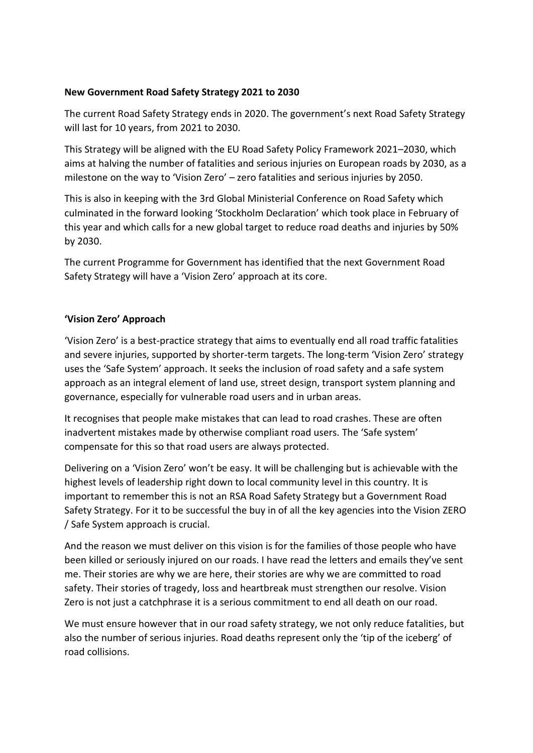### **New Government Road Safety Strategy 2021 to 2030**

The current Road Safety Strategy ends in 2020. The government's next Road Safety Strategy will last for 10 years, from 2021 to 2030.

This Strategy will be aligned with the EU Road Safety Policy Framework 2021–2030, which aims at halving the number of fatalities and serious injuries on European roads by 2030, as a milestone on the way to 'Vision Zero' – zero fatalities and serious injuries by 2050.

This is also in keeping with the 3rd Global Ministerial Conference on Road Safety which culminated in the forward looking 'Stockholm Declaration' which took place in February of this year and which calls for a new global target to reduce road deaths and injuries by 50% by 2030.

The current Programme for Government has identified that the next Government Road Safety Strategy will have a 'Vision Zero' approach at its core.

### **'Vision Zero' Approach**

'Vision Zero' is a best-practice strategy that aims to eventually end all road traffic fatalities and severe injuries, supported by shorter-term targets. The long-term 'Vision Zero' strategy uses the 'Safe System' approach. It seeks the inclusion of road safety and a safe system approach as an integral element of land use, street design, transport system planning and governance, especially for vulnerable road users and in urban areas.

It recognises that people make mistakes that can lead to road crashes. These are often inadvertent mistakes made by otherwise compliant road users. The 'Safe system' compensate for this so that road users are always protected.

Delivering on a 'Vision Zero' won't be easy. It will be challenging but is achievable with the highest levels of leadership right down to local community level in this country. It is important to remember this is not an RSA Road Safety Strategy but a Government Road Safety Strategy. For it to be successful the buy in of all the key agencies into the Vision ZERO / Safe System approach is crucial.

And the reason we must deliver on this vision is for the families of those people who have been killed or seriously injured on our roads. I have read the letters and emails they've sent me. Their stories are why we are here, their stories are why we are committed to road safety. Their stories of tragedy, loss and heartbreak must strengthen our resolve. Vision Zero is not just a catchphrase it is a serious commitment to end all death on our road.

We must ensure however that in our road safety strategy, we not only reduce fatalities, but also the number of serious injuries. Road deaths represent only the 'tip of the iceberg' of road collisions.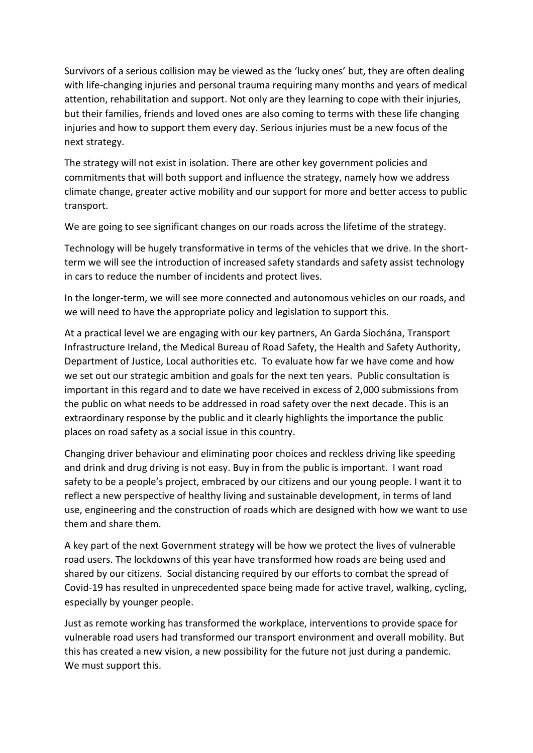Survivors of a serious collision may be viewed as the 'lucky ones' but, they are often dealing with life-changing injuries and personal trauma requiring many months and years of medical attention, rehabilitation and support. Not only are they learning to cope with their injuries, but their families, friends and loved ones are also coming to terms with these life changing injuries and how to support them every day. Serious injuries must be a new focus of the next strategy.

The strategy will not exist in isolation. There are other key government policies and commitments that will both support and influence the strategy, namely how we address climate change, greater active mobility and our support for more and better access to public transport.

We are going to see significant changes on our roads across the lifetime of the strategy.

Technology will be hugely transformative in terms of the vehicles that we drive. In the shortterm we will see the introduction of increased safety standards and safety assist technology in cars to reduce the number of incidents and protect lives.

In the longer-term, we will see more connected and autonomous vehicles on our roads, and we will need to have the appropriate policy and legislation to support this.

At a practical level we are engaging with our key partners, An Garda Síochána, Transport Infrastructure Ireland, the Medical Bureau of Road Safety, the Health and Safety Authority, Department of Justice, Local authorities etc. To evaluate how far we have come and how we set out our strategic ambition and goals for the next ten years. Public consultation is important in this regard and to date we have received in excess of 2,000 submissions from the public on what needs to be addressed in road safety over the next decade. This is an extraordinary response by the public and it clearly highlights the importance the public places on road safety as a social issue in this country.

Changing driver behaviour and eliminating poor choices and reckless driving like speeding and drink and drug driving is not easy. Buy in from the public is important. I want road safety to be a people's project, embraced by our citizens and our young people. I want it to reflect a new perspective of healthy living and sustainable development, in terms of land use, engineering and the construction of roads which are designed with how we want to use them and share them.

A key part of the next Government strategy will be how we protect the lives of vulnerable road users. The lockdowns of this year have transformed how roads are being used and shared by our citizens. Social distancing required by our efforts to combat the spread of Covid-19 has resulted in unprecedented space being made for active travel, walking, cycling, especially by younger people.

Just as remote working has transformed the workplace, interventions to provide space for vulnerable road users had transformed our transport environment and overall mobility. But this has created a new vision, a new possibility for the future not just during a pandemic. We must support this.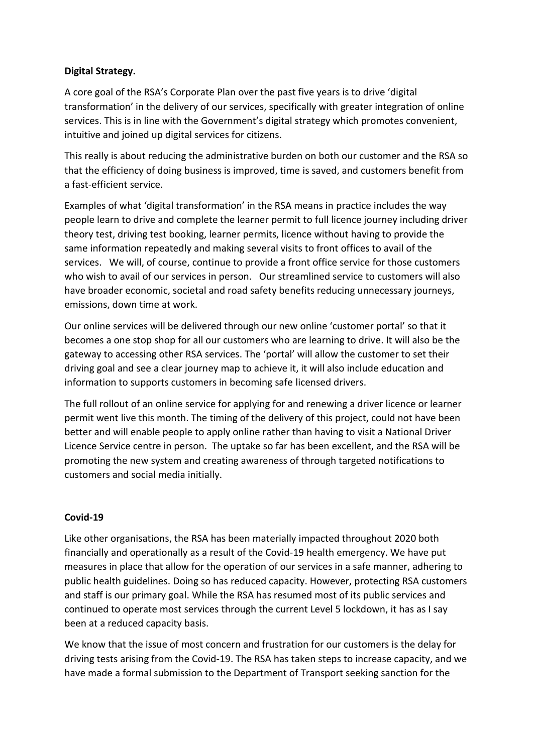## **Digital Strategy.**

A core goal of the RSA's Corporate Plan over the past five years is to drive 'digital transformation' in the delivery of our services, specifically with greater integration of online services. This is in line with the Government's digital strategy which promotes convenient, intuitive and joined up digital services for citizens.

This really is about reducing the administrative burden on both our customer and the RSA so that the efficiency of doing business is improved, time is saved, and customers benefit from a fast-efficient service.

Examples of what 'digital transformation' in the RSA means in practice includes the way people learn to drive and complete the learner permit to full licence journey including driver theory test, driving test booking, learner permits, licence without having to provide the same information repeatedly and making several visits to front offices to avail of the services. We will, of course, continue to provide a front office service for those customers who wish to avail of our services in person. Our streamlined service to customers will also have broader economic, societal and road safety benefits reducing unnecessary journeys, emissions, down time at work.

Our online services will be delivered through our new online 'customer portal' so that it becomes a one stop shop for all our customers who are learning to drive. It will also be the gateway to accessing other RSA services. The 'portal' will allow the customer to set their driving goal and see a clear journey map to achieve it, it will also include education and information to supports customers in becoming safe licensed drivers.

The full rollout of an online service for applying for and renewing a driver licence or learner permit went live this month. The timing of the delivery of this project, could not have been better and will enable people to apply online rather than having to visit a National Driver Licence Service centre in person. The uptake so far has been excellent, and the RSA will be promoting the new system and creating awareness of through targeted notifications to customers and social media initially.

# **Covid-19**

Like other organisations, the RSA has been materially impacted throughout 2020 both financially and operationally as a result of the Covid-19 health emergency. We have put measures in place that allow for the operation of our services in a safe manner, adhering to public health guidelines. Doing so has reduced capacity. However, protecting RSA customers and staff is our primary goal. While the RSA has resumed most of its public services and continued to operate most services through the current Level 5 lockdown, it has as I say been at a reduced capacity basis.

We know that the issue of most concern and frustration for our customers is the delay for driving tests arising from the Covid-19. The RSA has taken steps to increase capacity, and we have made a formal submission to the Department of Transport seeking sanction for the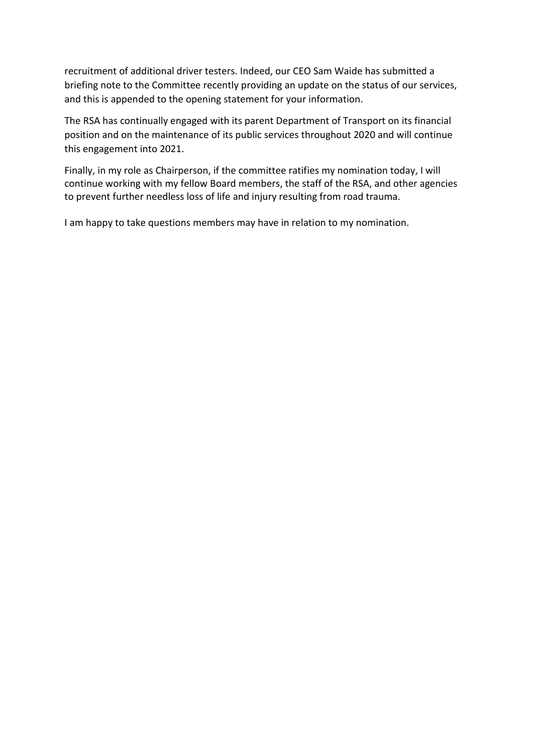recruitment of additional driver testers. Indeed, our CEO Sam Waide has submitted a briefing note to the Committee recently providing an update on the status of our services, and this is appended to the opening statement for your information.

The RSA has continually engaged with its parent Department of Transport on its financial position and on the maintenance of its public services throughout 2020 and will continue this engagement into 2021.

Finally, in my role as Chairperson, if the committee ratifies my nomination today, I will continue working with my fellow Board members, the staff of the RSA, and other agencies to prevent further needless loss of life and injury resulting from road trauma.

I am happy to take questions members may have in relation to my nomination.